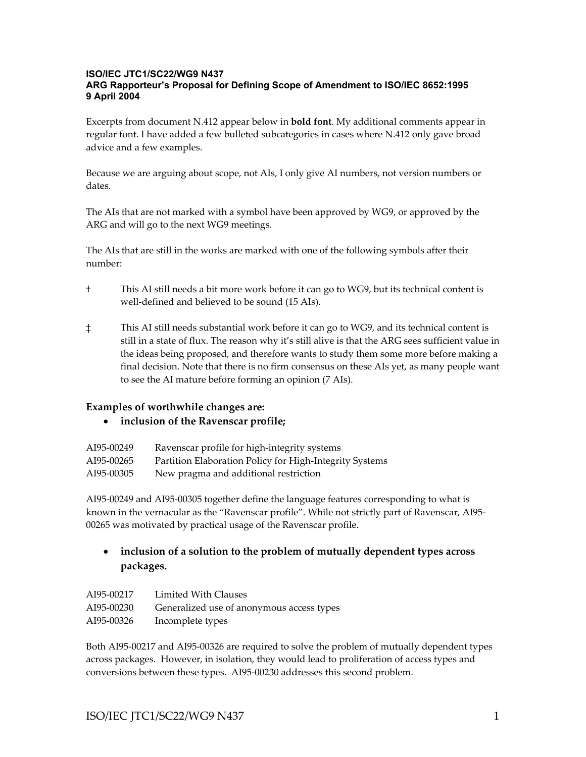#### **ISO/IEC JTC1/SC22/WG9 N437 ARG Rapporteur's Proposal for Defining Scope of Amendment to ISO/IEC 8652:1995 9 April 2004**

Excerpts from document N.412 appear below in **bold font**. My additional comments appear in regular font. I have added a few bulleted subcategories in cases where N.412 only gave broad advice and a few examples.

Because we are arguing about scope, not AIs, I only give AI numbers, not version numbers or dates.

The AIs that are not marked with a symbol have been approved by WG9, or approved by the ARG and will go to the next WG9 meetings.

The AIs that are still in the works are marked with one of the following symbols after their number:

- † This AI still needs a bit more work before it can go to WG9, but its technical content is well-defined and believed to be sound (15 AIs).
- ‡ This AI still needs substantial work before it can go to WG9, and its technical content is still in a state of flux. The reason why it's still alive is that the ARG sees sufficient value in the ideas being proposed, and therefore wants to study them some more before making a final decision. Note that there is no firm consensus on these AIs yet, as many people want to see the AI mature before forming an opinion (7 AIs).

## **Examples of worthwhile changes are:**

• **inclusion of the Ravenscar profile;** 

| AI95-00249 | Ravenscar profile for high-integrity systems            |
|------------|---------------------------------------------------------|
| AI95-00265 | Partition Elaboration Policy for High-Integrity Systems |
| AI95-00305 | New pragma and additional restriction                   |

AI95-00249 and AI95-00305 together define the language features corresponding to what is known in the vernacular as the "Ravenscar profile". While not strictly part of Ravenscar, AI95- 00265 was motivated by practical usage of the Ravenscar profile.

# • **inclusion of a solution to the problem of mutually dependent types across packages.**

| AI95-00217 | Limited With Clauses                      |
|------------|-------------------------------------------|
| AI95-00230 | Generalized use of anonymous access types |
| AI95-00326 | Incomplete types                          |

Both AI95-00217 and AI95-00326 are required to solve the problem of mutually dependent types across packages. However, in isolation, they would lead to proliferation of access types and conversions between these types. AI95-00230 addresses this second problem.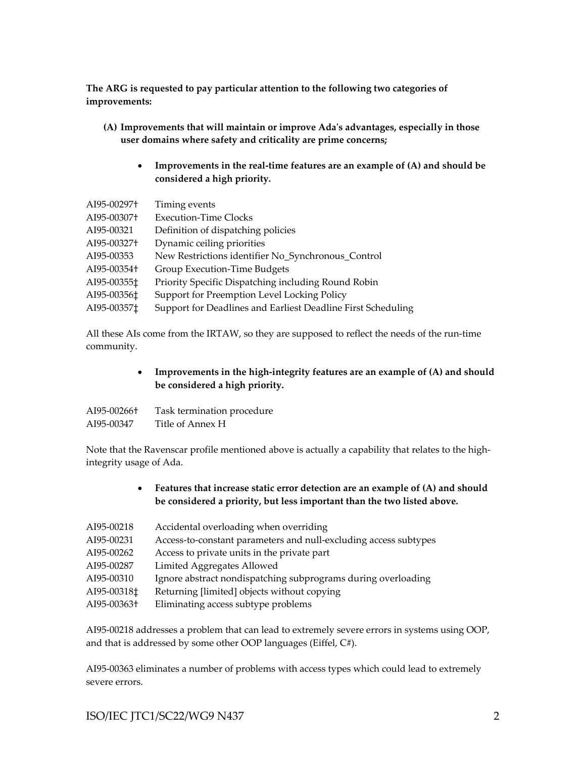**The ARG is requested to pay particular attention to the following two categories of improvements:** 

- **(A) Improvements that will maintain or improve Adaʹs advantages, especially in those user domains where safety and criticality are prime concerns;** 
	- **Improvements in the real-time features are an example of (A) and should be considered a high priority.**

| AI95-00297+ | Timing events                                                |
|-------------|--------------------------------------------------------------|
| AI95-00307+ | <b>Execution-Time Clocks</b>                                 |
| AI95-00321  | Definition of dispatching policies                           |
| AI95-00327+ | Dynamic ceiling priorities                                   |
| AI95-00353  | New Restrictions identifier No_Synchronous_Control           |
| AI95-00354+ | Group Execution-Time Budgets                                 |
| AI95-00355‡ | Priority Specific Dispatching including Round Robin          |
| AI95-00356‡ | Support for Preemption Level Locking Policy                  |
| AI95-003571 | Support for Deadlines and Earliest Deadline First Scheduling |

All these AIs come from the IRTAW, so they are supposed to reflect the needs of the run-time community.

> • **Improvements in the high-integrity features are an example of (A) and should be considered a high priority.**

| AI95-00266† | Task termination procedure |
|-------------|----------------------------|
| AI95-00347  | Title of Annex H           |

Note that the Ravenscar profile mentioned above is actually a capability that relates to the highintegrity usage of Ada.

> • **Features that increase static error detection are an example of (A) and should be considered a priority, but less important than the two listed above.**

| AI95-00218              | Accidental overloading when overriding                           |
|-------------------------|------------------------------------------------------------------|
| AI95-00231              | Access-to-constant parameters and null-excluding access subtypes |
| AI95-00262              | Access to private units in the private part                      |
| AI95-00287              | Limited Aggregates Allowed                                       |
| AI95-00310              | Ignore abstract nondispatching subprograms during overloading    |
| AI95-00318 <sup>+</sup> | Returning [limited] objects without copying                      |
| AI95-00363†             | Eliminating access subtype problems                              |

AI95-00218 addresses a problem that can lead to extremely severe errors in systems using OOP, and that is addressed by some other OOP languages (Eiffel, C#).

AI95-00363 eliminates a number of problems with access types which could lead to extremely severe errors.

ISO/IEC JTC1/SC22/WG9 N437 2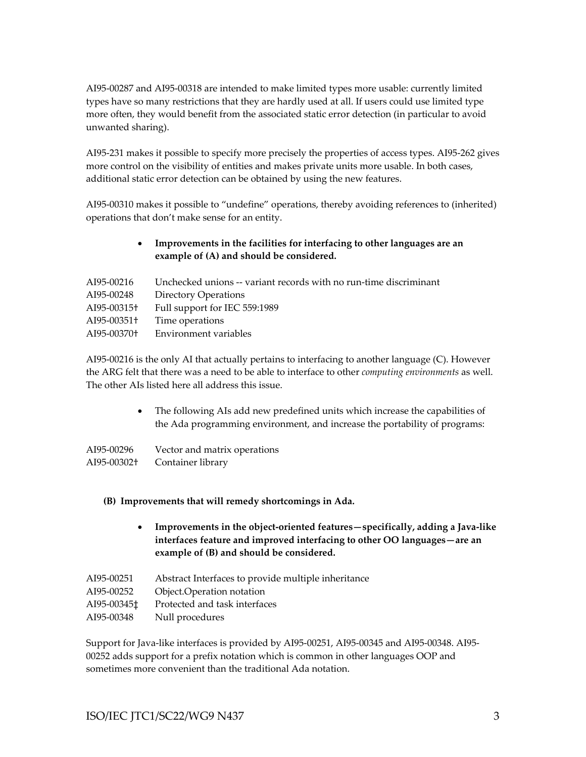AI95-00287 and AI95-00318 are intended to make limited types more usable: currently limited types have so many restrictions that they are hardly used at all. If users could use limited type more often, they would benefit from the associated static error detection (in particular to avoid unwanted sharing).

AI95-231 makes it possible to specify more precisely the properties of access types. AI95-262 gives more control on the visibility of entities and makes private units more usable. In both cases, additional static error detection can be obtained by using the new features.

AI95-00310 makes it possible to "undefine" operations, thereby avoiding references to (inherited) operations that don't make sense for an entity.

## • **Improvements in the facilities for interfacing to other languages are an example of (A) and should be considered.**

| AI95-00216  | Unchecked unions -- variant records with no run-time discriminant |
|-------------|-------------------------------------------------------------------|
| AI95-00248  | <b>Directory Operations</b>                                       |
| AI95-00315† | Full support for IEC 559:1989                                     |
| AI95-00351+ | Time operations                                                   |
| AI95-00370† | Environment variables                                             |

AI95-00216 is the only AI that actually pertains to interfacing to another language (C). However the ARG felt that there was a need to be able to interface to other *computing environments* as well. The other AIs listed here all address this issue.

> • The following AIs add new predefined units which increase the capabilities of the Ada programming environment, and increase the portability of programs:

| AI95-00296  | Vector and matrix operations |
|-------------|------------------------------|
| AI95-00302† | Container library            |

### **(B) Improvements that will remedy shortcomings in Ada.**

- **Improvements in the object-oriented features—specifically, adding a Java-like interfaces feature and improved interfacing to other OO languages—are an example of (B) and should be considered.**
- AI95-00251 Abstract Interfaces to provide multiple inheritance
- AI95-00252 Object.Operation notation
- AI95-00345‡ Protected and task interfaces
- AI95-00348 Null procedures

Support for Java-like interfaces is provided by AI95-00251, AI95-00345 and AI95-00348. AI95- 00252 adds support for a prefix notation which is common in other languages OOP and sometimes more convenient than the traditional Ada notation.